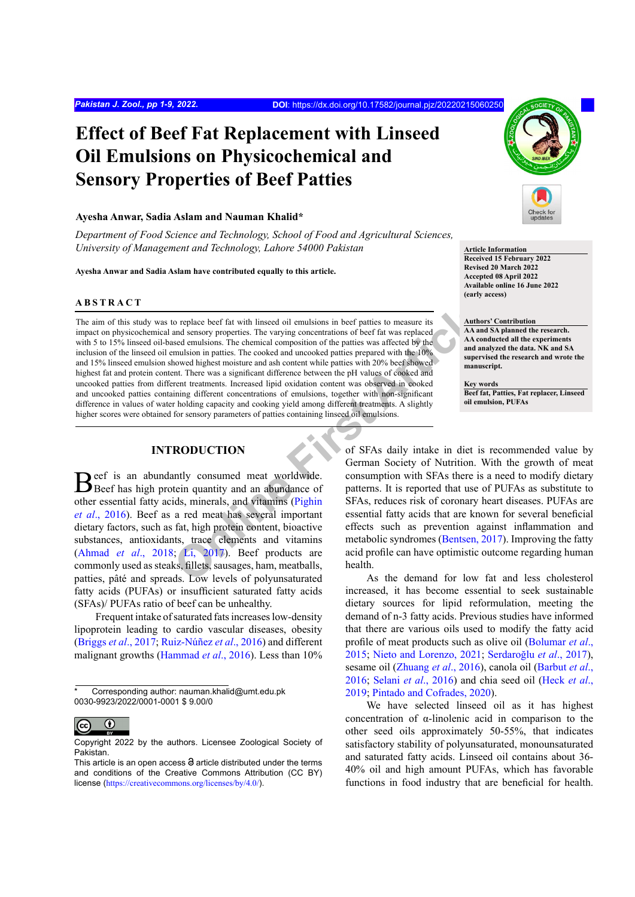# **Effect of Beef Fat Replacement with Linseed Oil Emulsions on Physicochemical and Sensory Properties of Beef Patties**

#### **Ayesha Anwar, Sadia Aslam and Nauman Khalid\***

*Department of Food Science and Technology, School of Food and Agricultural Sciences, University of Management and Technology, Lahore 54000 Pakistan*

**Ayesha Anwar and Sadia Aslam have contributed equally to this article.**

#### **ABSTRACT**

For th[e](#page-9-0) complace beef fat with linseed oil emulsions in beef patties to measure its<br>and sensory properties. The varying concentrations of beef fat was replaced<br>sed emulsions. The chemical composition of the patties was aff The aim of this study was to replace beef fat with linseed oil emulsions in beef patties to measure its impact on physicochemical and sensory properties. The varying concentrations of beef fat was replaced with 5 to 15% linseed oil-based emulsions. The chemical composition of the patties was affected by the inclusion of the linseed oil emulsion in patties. The cooked and uncooked patties prepared with the 10% and 15% linseed emulsion showed highest moisture and ash content while patties with 20% beef showed highest fat and protein content. There was a significant difference between the pH values of cooked and uncooked patties from different treatments. Increased lipid oxidation content was observed in cooked and uncooked patties containing different concentrations of emulsions, together with non-significant difference in values of water holding capacity and cooking yield among different treatments. A slightly higher scores were obtained for sensory parameters of patties containing linseed oil emulsions.

# **INTRODUCTION**

Beef is an abundantly consumed meat worldwide.<br>Beef has high protein quantity and an abundance of other essential fatty acids, minerals, and vitamins (Pighin *et al*[., 2016](#page-9-0)). Beef as a red meat has several important dietary factors, such as fat, high protein content, bioactive substances, antioxidants, trace elements and vitamins [\(Ahmad](#page-7-0) *et al*., 2018; Li, 2017). Beef products are commonly used as steaks, fillets, sausages, ham, meatballs, patties, pâté and spreads. Low levels of polyunsaturated fatty acids (PUFAs) or insufficient saturated fatty acids (SFAs)/ PUFAs ratio of beef can be unhealthy.

Frequent intake of saturated fats increases low-density lipoprotein leading to cardio vascular diseases, obesity [\(Briggs](#page-8-1) *et al*., 2017; Ruiz-Núñez *et al*., 2016) and different malignant growths ([Hammad](#page-8-2) *et al*., 2016). Less than 10%



**Article Information Received 15 February 2022 Revised 20 March 2022 Accepted 08 April 2022 Available online 16 June 2022 (early access)**

# **Authors' Contribution**

**AA and SA planned the research. AA conducted all the experiments and analyzed the data. NK and SA supervised the research and wrote the manuscript.**

**Key words Beef fat, Patties, Fat replacer, Linseed oil emulsion, PUFAs**

of SFAs daily intake in diet is recommended value by German Society of Nutrition. With the growth of meat consumption with SFAs there is a need to modify dietary patterns. It is reported that use of PUFAs as substitute to SFAs, reduces risk of coronary heart diseases. PUFAs are essential fatty acids that are known for several beneficial effects such as prevention against inflammation and metabolic syndromes (Bentsen, 2017). Improving the fatty acid profile can have optimistic outcome regarding human health.

As the demand for low fat and less cholesterol increased, it has become essential to seek sustainable dietary sources for lipid reformulation, meeting the demand of n-3 fatty acids. Previous studies have informed that there are various oils used to modify the fatty acid profile of meat products such as olive oil ([Bolumar](#page-8-4) *et al*., [2015;](#page-8-4) [Nieto and Lorenzo, 2021;](#page-8-5) Serdaroğlu *et al*., 2017), sesame oil ([Zhuang](#page-9-1) *et al*., 2016), canola oil ([Barbut](#page-8-6) *et al*., [2016;](#page-8-6) Selani *et al*., 2016) and chia seed oil (Heck *et al*., 2019; [Pintado and Cofrades, 2020](#page-9-2)).

We have selected linseed oil as it has highest concentration of α-linolenic acid in comparison to the other seed oils approximately 50-55%, that indicates satisfactory stability of polyunsaturated, monounsaturated and saturated fatty acids. Linseed oil contains about 36- 40% oil and high amount PUFAs, which has favorable functions in food industry that are beneficial for health.

Corresponding author: nauman.khalid@umt.edu.pk 0030-9923/2022/0001-0001 \$ 9.00/0

 $\bf \odot$  $\overline{(\text{cc})}$ 

Copyright 2022 by the authors. Licensee Zoological Society of Pakistan.

This article is an open access  $\Theta$  article distributed under the terms and conditions of the Creative Commons Attribution (CC BY) license (<https://creativecommons.org/licenses/by/4.0/>).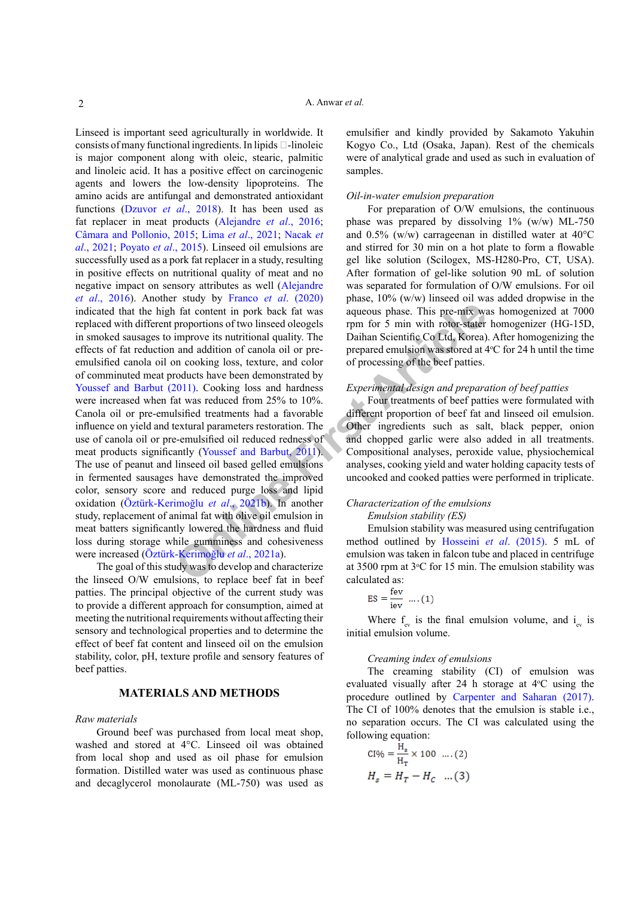**Example 1 Consumerably** and **Consumerably** and **Consumerably** and **Consumerably** and addition of canola oil or pre-<br> **[On](#page-8-9)ly and addition** of canola oil or pre-<br> **Daihan Scientific Co Ltd, Korea**) and addition of canola o Linseed is important seed agriculturally in worldwide. It consists of many functional ingredients. In lipids  $\Box$ -linoleic is major component along with oleic, stearic, palmitic and linoleic acid. It has a positive effect on carcinogenic agents and lowers the low-density lipoproteins. The amino acids are antifungal and demonstrated antioxidant functions ([Dzuvor](#page-8-7) *et al*., 2018). It has been used as fat replacer in meat products (Alejandre *et al*., 2016; Câmara and Pollonio, 2015; Lima *et al*., 2021; Nacak *et al*., 2021; Poyato *et al*., 2015). Linseed oil emulsions are successfully used as a pork fat replacer in a study, resulting in positive effects on nutritional quality of meat and no negative impact on sensory attributes as well (Alejandre *et al*., 2016). Another study by Franco *et al*. (2020) indicated that the high fat content in pork back fat was replaced with different proportions of two linseed oleogels in smoked sausages to improve its nutritional quality. The effects of fat reduction and addition of canola oil or preemulsified canola oil on cooking loss, texture, and color of comminuted meat products have been demonstrated by [Youssef and Barbut \(2011\).](#page-9-3) Cooking loss and hardness were increased when fat was reduced from 25% to 10%. Canola oil or pre-emulsified treatments had a favorable influence on yield and textural parameters restoration. The use of canola oil or pre-emulsified oil reduced redness of meat products significantly (Youssef and Barbut, 2011). The use of peanut and linseed oil based gelled emulsions in fermented sausages have demonstrated the improved color, sensory score and reduced purge loss and lipid oxidation (Öztürk-Kerimoğlu *et al*., 2021b). In another study, replacement of animal fat with olive oil emulsion in meat batters significantly lowered the hardness and fluid loss during storage while gumminess and cohesiveness were increased (Öztürk-Kerimoğlu *et al*., 2021a).

The goal of this study was to develop and characterize the linseed O/W emulsions, to replace beef fat in beef patties. The principal objective of the current study was to provide a different approach for consumption, aimed at meeting the nutritional requirements without affecting their sensory and technological properties and to determine the effect of beef fat content and linseed oil on the emulsion stability, color, pH, texture profile and sensory features of beef patties.

### **MATERIALS AND METHODS**

#### *Raw materials*

Ground beef was purchased from local meat shop, washed and stored at 4°C. Linseed oil was obtained from local shop and used as oil phase for emulsion formation. Distilled water was used as continuous phase and decaglycerol monolaurate (ML-750) was used as

emulsifier and kindly provided by Sakamoto Yakuhin Kogyo Co., Ltd (Osaka, Japan). Rest of the chemicals were of analytical grade and used as such in evaluation of samples.

#### *Oil-in-water emulsion preparation*

For preparation of O/W emulsions, the continuous phase was prepared by dissolving 1% (w/w) ML-750 and 0.5% (w/w) carrageenan in distilled water at 40°C and stirred for 30 min on a hot plate to form a flowable gel like solution (Scilogex, MS-H280-Pro, CT, USA). After formation of gel-like solution 90 mL of solution was separated for formulation of O/W emulsions. For oil phase, 10% (w/w) linseed oil was added dropwise in the aqueous phase. This pre-mix was homogenized at 7000 rpm for 5 min with rotor-stater homogenizer (HG-15D, Daihan Scientific Co Ltd, Korea). After homogenizing the prepared emulsion was stored at  $4^{\circ}$ C for 24 h until the time of processing of the beef patties.

#### *Experimental design and preparation of beef patties*

Four treatments of beef patties were formulated with different proportion of beef fat and linseed oil emulsion. Other ingredients such as salt, black pepper, onion and chopped garlic were also added in all treatments. Compositional analyses, peroxide value, physiochemical analyses, cooking yield and water holding capacity tests of uncooked and cooked patties were performed in triplicate.

# *Characterization of the emulsions*

# *Emulsion stability (ES)*

Emulsion stability was measured using centrifugation method outlined by Hosseini *et al*. (2015). 5 mL of emulsion was taken in falcon tube and placed in centrifuge at 3500 rpm at  $3^{\circ}$ C for 15 min. The emulsion stability was calculated as:

$$
ES = \frac{rev}{iev} ....(1)
$$

Where  $f_{ev}$  is the final emulsion volume, and  $i_{ev}$  is initial emulsion volume.

## *Creaming index of emulsions*

The creaming stability (CI) of emulsion was evaluated visually after 24 h storage at  $4^{\circ}$ C using the procedure outlined by [Carpenter and Saharan \(2017\).](#page-8-11) The CI of 100% denotes that the emulsion is stable i.e., no separation occurs. The CI was calculated using the following equation:

CI% = 
$$
\frac{H_s}{H_T}
$$
 × 100 .... (2)  
 $H_s = H_T - H_C$  .... (3)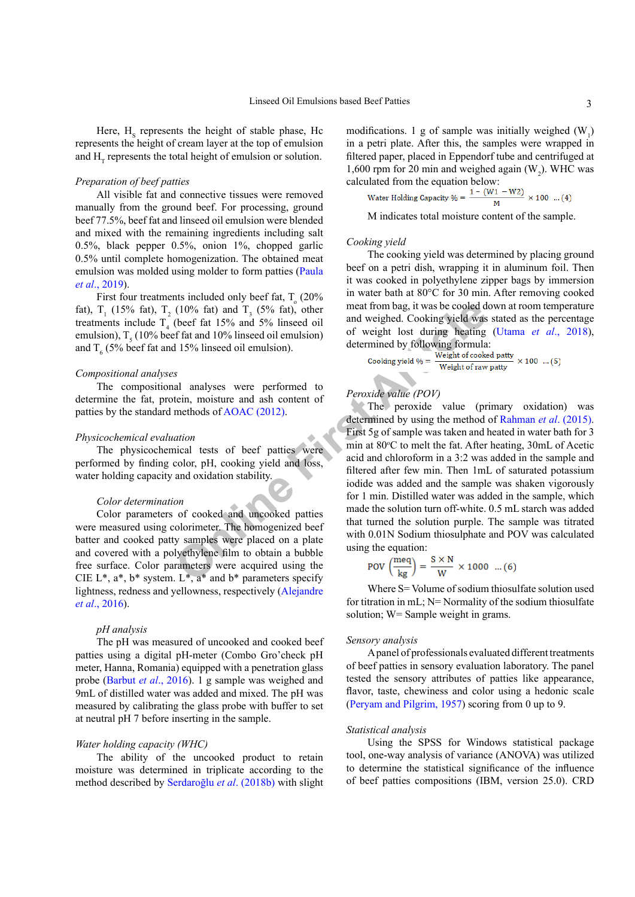Here,  $H<sub>s</sub>$  represents the height of stable phase, Hc represents the height of cream layer at the top of emulsion and  $H<sub>T</sub>$  represents the total height of emulsion or solution.

## *Preparation of beef patties*

All visible fat and connective tissues were removed manually from the ground beef. For processing, ground beef 77.5%, beef fat and linseed oil emulsion were blended and mixed with the remaining ingredients including salt 0.5%, black pepper 0.5%, onion 1%, chopped garlic 0.5% until complete homogenization. The obtained meat emulsion was molded using molder to form patties ([Paula](#page-8-12) *et al*[., 2019\)](#page-8-12).

First four treatments included only beef fat,  $T<sub>o</sub>$  (20%) fat),  $T_1$  (15% fat),  $T_2$  (10% fat) and  $T_3$  (5% fat), other treatments include  $T_4$  (beef fat 15% and 5% linseed oil emulsion),  $T<sub>5</sub>$  (10% beef fat and 10% linseed oil emulsion) and  $T_6$  (5% beef fat and 15% linseed oil emulsion).

#### *Compositional analyses*

The compositional analyses were performed to determine the fat, protein, moisture and ash content of patties by the standard methods of AOAC (2012).

#### *Physicochemical evaluation*

The physicochemical tests of beef patties were performed by finding color, pH, cooking yield and loss, water holding capacity and oxidation stability.

#### *Color determination*

Color parameters of cooked and uncooked patties were measured using colorimeter. The homogenized beef batter and cooked patty samples were placed on a plate and covered with a polyethylene film to obtain a bubble free surface. Color parameters were acquired using the CIE  $L^*$ ,  $a^*$ ,  $b^*$  system.  $L^*$ ,  $a^*$  and  $b^*$  parameters specify lightness, redness and yellowness, respectively (Alejandre *et al*., 2016).

#### *pH analysis*

The pH was measured of uncooked and cooked beef patties using a digital pH-meter (Combo Gro'check pH meter, Hanna, Romania) equipped with a penetration glass probe ([Barbut](#page-8-6) *et al*., 2016). 1 g sample was weighed and 9mL of distilled water was added and mixed. The pH was measured by calibrating the glass probe with buffer to set at neutral pH 7 before inserting in the sample.

#### *Water holding capacity (WHC)*

The ability of the uncooked product to retain moisture was determined in triplicate according to the method described by Serdaroğlu *et al*. (2018b) with slight modifications. 1 g of sample was initially weighed  $(W_1)$ in a petri plate. After this, the samples were wrapped in filtered paper, placed in Eppendorf tube and centrifuged at 1,600 rpm for 20 min and weighed again  $(W_2)$ . WHC was calculated from the equation below:

Water Holding Capacity 
$$
\% = \frac{1 - (W1 - W2)}{M} \times 100
$$
 ... (4)

M indicates total moisture content of the sample.

#### *Cooking yield*

The cooking yield was determined by placing ground beef on a petri dish, wrapping it in aluminum foil. Then it was cooked in polyethylene zipper bags by immersion in water bath at 80°C for 30 min. After removing cooked meat from bag, it was be cooled down at room temperature and weighed. Cooking yield was stated as the percentage of weight lost during heating (Utama *et al*[., 2018](#page-9-4)), determined by following formula:

$$
Looking yield \% = \frac{Weight of cooled\; pathway}{Weight of raw\;party} \times 100 \quad ... (5)
$$

### *Peroxide value (POV)*

(10% fat) and T<sub>3</sub> (5% fat), other<br>
(beef fat 15% and 5% linseed oil<br>
(beef fat 15% and 5% linseed oil<br>
online and weight of cooking yield was<br>
of weight of two implementing heating<br>
all 115% linseed oil emulsion).<br>
Leoki The peroxide value (primary oxidation) was determined by using the method of [Rahman](#page-9-5) *et al*. (2015). First 5g of sample was taken and heated in water bath for 3 min at 80°C to melt the fat. After heating, 30mL of Acetic acid and chloroform in a 3:2 was added in the sample and filtered after few min. Then 1mL of saturated potassium iodide was added and the sample was shaken vigorously for 1 min. Distilled water was added in the sample, which made the solution turn off-white. 0.5 mL starch was added that turned the solution purple. The sample was titrated with 0.01N Sodium thiosulphate and POV was calculated using the equation:

$$
POV\left(\frac{\text{meq}}{\text{kg}}\right) = \frac{\text{S} \times \text{N}}{\text{W}} \times 1000 \dots (6)
$$

Where S = Volume of sodium thiosulfate solution used for titration in mL; N= Normality of the sodium thiosulfate solution; W= Sample weight in grams.

#### *Sensory analysis*

A panel of professionals evaluated different treatments of beef patties in sensory evaluation laboratory. The panel tested the sensory attributes of patties like appearance, flavor, taste, chewiness and color using a hedonic scale [\(Peryam and Pilgrim, 1957](#page-9-6)) scoring from 0 up to 9.

#### *Statistical analysis*

Using the SPSS for Windows statistical package tool, one-way analysis of variance (ANOVA) was utilized to determine the statistical significance of the influence of beef patties compositions (IBM, version 25.0). CRD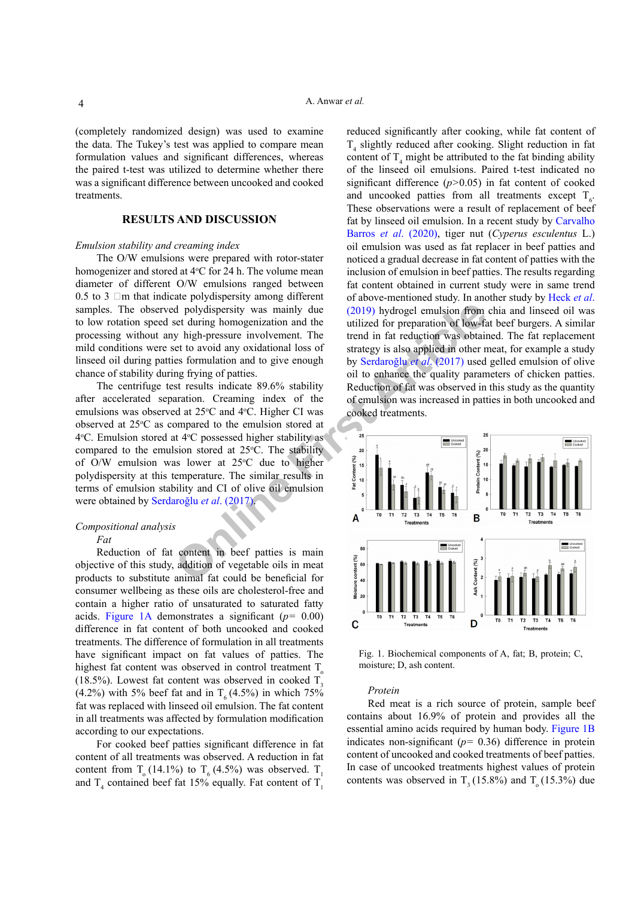(completely randomized design) was used to examine the data. The Tukey's test was applied to compare mean formulation values and significant differences, whereas the paired t-test was utilized to determine whether there was a significant difference between uncooked and cooked treatments.

# **RESULTS AND DISCUSSION**

#### *Emulsion stability and creaming index*

The O/W emulsions were prepared with rotor-stater homogenizer and stored at 4°C for 24 h. The volume mean diameter of different O/W emulsions ranged between 0.5 to 3  $\Box$ m that indicate polydispersity among different samples. The observed polydispersity was mainly due to low rotation speed set during homogenization and the processing without any high-pressure involvement. The mild conditions were set to avoid any oxidational loss of linseed oil during patties formulation and to give enough chance of stability during frying of patties.

The centrifuge test results indicate 89.6% stability after accelerated separation. Creaming index of the emulsions was observed at 25°C and 4°C. Higher CI was observed at  $25^{\circ}$ C as compared to the emulsion stored at 4°C. Emulsion stored at 4°C possessed higher stability as compared to the emulsion stored at  $25^{\circ}$ C. The stability of O/W emulsion was lower at  $25^{\circ}$ C due to higher polydispersity at this temperature. The similar results in terms of emulsion stability and CI of olive oil emulsion were obtained by Serdaroğlu *et al*. (2017).

#### *Compositional analysis*

*Fat*

Reduction of fat content in beef patties is main objective of this study, addition of vegetable oils in meat products to substitute animal fat could be beneficial for consumer wellbeing as these oils are cholesterol-free and contain a higher ratio of unsaturated to saturated fatty acids. [Figure 1A](#page-3-0) demonstrates a significant (*p=* 0.00) difference in fat content of both uncooked and cooked treatments. The difference of formulation in all treatments have significant impact on fat values of patties. The highest fat content was observed in control treatment  $T_{o}$ (18.5%). Lowest fat content was observed in cooked  $T_3$ (4.2%) with 5% beef fat and in  $T_6 (4.5%)$  in which 75% fat was replaced with linseed oil emulsion. The fat content in all treatments was affected by formulation modification according to our expectations.

For cooked beef patties significant difference in fat content of all treatments was observed. A reduction in fat content from  $T_a(14.1\%)$  to  $T_f(4.5\%)$  was observed. T<sub>1</sub> and  $T_4$  contained beef fat 15% equally. Fat content of  $T_1$ 

reduced significantly after cooking, while fat content of  $T<sub>4</sub>$  slightly reduced after cooking. Slight reduction in fat content of  $T_4$  might be attributed to the fat binding ability of the linseed oil emulsions. Paired t-test indicated no significant difference (*p>*0.05) in fat content of cooked and uncooked patties from all treatments except  $T_{6}$ . These observations were a result of replacement of beef fat by linseed oil emulsion. In a recent study by Carvalho Barros *et al*. (2020), tiger nut (*Cyperus esculentus* L.) oil emulsion was used as fat replacer in beef patties and noticed a gradual decrease in fat content of patties with the inclusion of emulsion in beef patties. The results regarding fat content obtained in current study were in same trend of above-mentioned study. In another study by Heck *et al*. (2019) hydrogel emulsion from chia and linseed oil was utilized for preparation of low-fat beef burgers. A similar trend in fat reduction was obtained. The fat replacement strategy is also applied in other meat, for example a study by Serdaroğlu *et al*. (2017) used gelled emulsion of olive oil to enhance the quality parameters of chicken patties. Reduction of fat was observed in this study as the quantity of emulsion was increased in patties in both uncooked and cooked treatments.



<span id="page-3-0"></span>Fig. 1. Biochemical components of A, fat; B, protein; C, moisture; D, ash content.

#### *Protein*

Red meat is a rich source of protein, sample beef contains about 16.9% of protein and provides all the essential amino acids required by human body. [Figure 1](#page-3-0)B indicates non-significant (*p=* 0.36) difference in protein content of uncooked and cooked treatments of beef patties. In case of uncooked treatments highest values of protein contents was observed in  $T<sub>2</sub> (15.8%)$  and  $T<sub>3</sub> (15.3%)$  due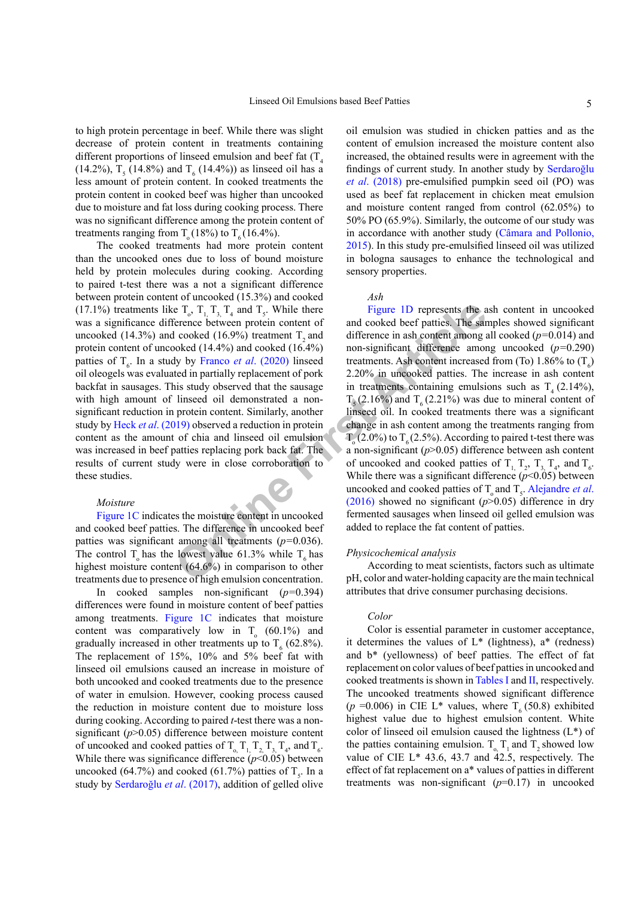to high protein percentage in beef. While there was slight decrease of protein content in treatments containing different proportions of linseed emulsion and beef fat  $(T_A$  $(14.2\%)$ , T<sub>5</sub> (14.8%) and T<sub>6</sub> (14.4%)) as linseed oil has a less amount of protein content. In cooked treatments the protein content in cooked beef was higher than uncooked due to moisture and fat loss during cooking process. There was no significant difference among the protein content of treatments ranging from  $T_0(18\%)$  to  $T_6(16.4\%)$ .

The cooked treatments had more protein content than the uncooked ones due to loss of bound moisture held by protein molecules during cooking. According to paired t-test there was a not a significant difference between protein content of uncooked (15.3%) and cooked (17.1%) treatments like  $T_o$ ,  $T_{1, T_{3,}} T_4$  and  $T_5$ . While there was a significance difference between protein content of uncooked  $(14.3\%)$  and cooked  $(16.9\%)$  treatment T<sub>2</sub> and protein content of uncooked (14.4%) and cooked (16.4%) patties of  $T<sub>6</sub>$ . In a study by Franco *et al.* (2020) linseed oil oleogels was evaluated in partially replacement of pork backfat in sausages. This study observed that the sausage with high amount of linseed oil demonstrated a nonsignificant reduction in protein content. Similarly, another study by Heck *et al*. (2019) observed a reduction in protein content as the amount of chia and linseed oil emulsion was increased in beef patties replacing pork back fat. The results of current study were in close corroboration to these studies.

#### *Moisture*

[Figure 1C](#page-3-0) indicates the moisture content in uncooked and cooked beef patties. The difference in uncooked beef patties was significant among all treatments (*p=*0.036). The control T<sub>o</sub> has the lowest value 61.3% while T<sub>6</sub> has highest moisture content (64.6%) in comparison to other treatments due to presence of high emulsion concentration.

In cooked samples non-significant (*p=*0.394) differences were found in moisture content of beef patties among treatments. [Figure 1](#page-3-0)C indicates that moisture content was comparatively low in  $T_o$  (60.1%) and gradually increased in other treatments up to  $T_6$  (62.8%). The replacement of 15%, 10% and 5% beef fat with linseed oil emulsions caused an increase in moisture of both uncooked and cooked treatments due to the presence of water in emulsion. However, cooking process caused the reduction in moisture content due to moisture loss during cooking. According to paired *t*-test there was a nonsignificant ( $p$ >0.05) difference between moisture content of uncooked and cooked patties of  $T_{0}$ ,  $T_{1}$ ,  $T_{2}$ ,  $T_{3}$ ,  $T_{4}$ , and  $T_{6}$ . While there was significance difference  $(p<0.05)$  between uncooked (64.7%) and cooked (61.7%) patties of  $T_s$ . In a study by Serdaroğlu *et al*. (2017), addition of gelled olive

oil emulsion was studied in chicken patties and as the content of emulsion increased the moisture content also increased, the obtained results were in agreement with the findings of current study. In another study by Serdaroğlu *et al*. (2018) pre-emulsified pumpkin seed oil (PO) was used as beef fat replacement in chicken meat emulsion and moisture content ranged from control (62.05%) to 50% PO (65.9%). Similarly, the outcome of our study was in accordance with another study (Câmara and Pollonio, 2015). In this study pre-emulsified linseed oil was utilized in bologna sausages to enhance the technological and sensory properties.

# *Ash*

**E** T<sub>e</sub>, T<sub>1</sub>, T<sub>4</sub> and T<sub>s</sub>. While there<br>
Figure 1D represents the a<br>
Ference between protein content of and cooked beef patties. The sam<br>
ooked (16.9%) treatment T<sub>2</sub> and<br>
ooked there in ash content among a<br>
booked (14 Figure 1D represents the ash content in uncooked and cooked beef patties. The samples showed significant difference in ash content among all cooked (*p=*0.014) and non-significant difference among uncooked (*p=*0.290) treatments. Ash content increased from (To)  $1.86\%$  to (T<sub>6</sub>) 2.20% in uncooked patties. The increase in ash content in treatments containing emulsions such as  $T<sub>4</sub>$  (2.14%),  $T<sub>5</sub>(2.16%)$  and  $T<sub>6</sub>(2.21%)$  was due to mineral content of linseed oil. In cooked treatments there was a significant change in ash content among the treatments ranging from  $T_0$  (2.0%) to  $T_6$  (2.5%). According to paired t-test there was a non-significant (*p*>0.05) difference between ash content of uncooked and cooked patties of  $T_{1, T_2, T_3, T_4}$ , and  $T_6$ . While there was a significant difference  $(p<0.05)$  between uncooked and cooked patties of  $T_0$  and  $T_5$ . Alejandre *et al*. (2016) showed no significant (*p*>0.05) difference in dry fermented sausages when linseed oil gelled emulsion was added to replace the fat content of patties.

#### *Physicochemical analysis*

According to meat scientists, factors such as ultimate pH, color and water-holding capacity are the main technical attributes that drive consumer purchasing decisions.

#### *Color*

Color is essential parameter in customer acceptance, it determines the values of  $L^*$  (lightness),  $a^*$  (redness) and b\* (yellowness) of beef patties. The effect of fat replacement on color values of beef patties in uncooked and cooked treatments is shown in [Tables I](#page-5-0) and [II](#page-6-0), respectively. The uncooked treatments showed significant difference ( $p = 0.006$ ) in CIE L<sup>\*</sup> values, where  $T<sub>6</sub>$  (50.8) exhibited highest value due to highest emulsion content. White color of linseed oil emulsion caused the lightness  $(L^*)$  of the patties containing emulsion.  $T_1$ , T<sub>1</sub> and  $T_2$  showed low value of CIE L\* 43.6, 43.7 and  $42.5$ , respectively. The effect of fat replacement on a\* values of patties in different treatments was non-significant (*p*=0.17) in uncooked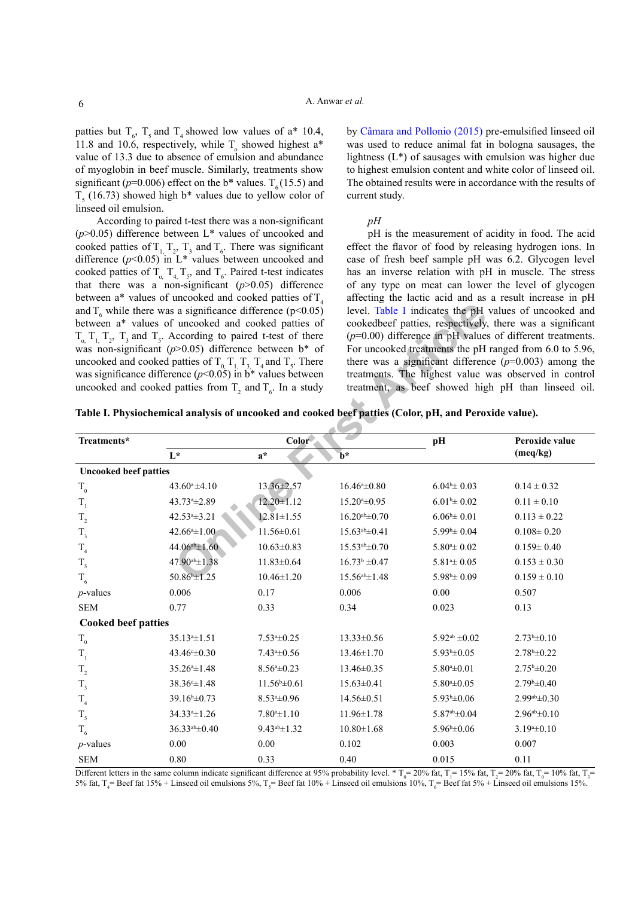patties but  $T_6$ ,  $T_5$  and  $T_4$  showed low values of a\* 10.4, 11.8 and 10.6, respectively, while  $T_0$  showed highest a\* value of 13.3 due to absence of emulsion and abundance of myoglobin in beef muscle. Similarly, treatments show significant ( $p=0.006$ ) effect on the b<sup>\*</sup> values. T<sub> $\epsilon$ </sub> (15.5) and  $T<sub>5</sub>$  (16.73) showed high b\* values due to yellow color of linseed oil emulsion.

According to paired t-test there was a non-significant  $(p>0.05)$  difference between L<sup>\*</sup> values of uncooked and cooked patties of  $T_1$ ,  $T_2$ ,  $T_3$  and  $T_6$ . There was significant difference  $(p<0.05)$  in L<sup>\*</sup> values between uncooked and cooked patties of  $T_{o, T_{4}}$ ,  $T_{5}$ , and  $T_{6}$ . Paired t-test indicates that there was a non-significant  $(p>0.05)$  difference between  $a^*$  values of uncooked and cooked patties of  $T<sub>4</sub>$ and  $T_6$  while there was a significance difference (p<0.05) between a\* values of uncooked and cooked patties of  $T_{0}$ ,  $T_{1}$ ,  $T_{2}$ ,  $T_{3}$  and  $T_{5}$ . According to paired t-test of there was non-significant ( $p$ >0.05) difference between b<sup>\*</sup> of uncooked and cooked patties of  $T_{0}$ ,  $T_{1}$ ,  $T_{3}$ ,  $T_{4}$  and  $T_{5}$ . There was significance difference  $(p<0.05)$  in b<sup>\*</sup> values between uncooked and cooked patties from  $T_2$  and  $T_6$ . In a study

by Câmara and Pollonio (2015) pre-emulsified linseed oil was used to reduce animal fat in bologna sausages, the lightness (L\*) of sausages with emulsion was higher due to highest emulsion content and white color of linseed oil. The obtained results were in accordance with the results of current study.

#### *pH*

pH is the measurement of acidity in food. The acid effect the flavor of food by releasing hydrogen ions. In case of fresh beef sample pH was 6.2. Glycogen level has an inverse relation with pH in muscle. The stress of any type on meat can lower the level of glycogen affecting the lactic acid and as a result increase in pH level. Table I indicates the pH values of uncooked and cookedbeef patties, respectively, there was a significant (*p*=0.00) difference in pH values of different treatments. For uncooked treatments the pH ranged from 6.0 to 5.96, there was a significant difference  $(p=0.003)$  among the treatments. The highest value was observed in control treatment, as beef showed high pH than linseed oil.

<span id="page-5-0"></span>

|  |  |  | Table I. Physiochemical analysis of uncooked and cooked beef patties (Color, pH, and Peroxide value). |
|--|--|--|-------------------------------------------------------------------------------------------------------|
|  |  |  |                                                                                                       |

|                              | and $T_6$ while there was a significance difference (p<0.05)<br>between a* values of uncooked and cooked patties of<br>$T_{0}$ , $T_{1}$ , $T_{2}$ , $T_{3}$ and $T_{5}$ . According to paired t-test of there<br>was non-significant ( $p$ >0.05) difference between b* of<br>uncooked and cooked patties of $T_0$ , $T_1$ , $T_3$ , $T_4$ and $T_5$ . There was significance difference ( $p<0.05$ ) in b <sup>*</sup> values between<br>uncooked and cooked patties from $T_2$ and $T_6$ . In a study | Table I. Physiochemical analysis of uncooked and cooked beef patties (Color, pH, and Peroxide value). |                          |                                 | level. Table I indicates the pH values of uncooked and<br>cookedbeef patties, respectively, there was a significant<br>$(p=0.00)$ difference in pH values of different treatments.<br>For uncooked treatments the pH ranged from 6.0 to 5.96,<br>there was a significant difference $(p=0.003)$ among the<br>treatments. The highest value was observed in control<br>treatment, as beef showed high pH than linseed oil. |
|------------------------------|----------------------------------------------------------------------------------------------------------------------------------------------------------------------------------------------------------------------------------------------------------------------------------------------------------------------------------------------------------------------------------------------------------------------------------------------------------------------------------------------------------|-------------------------------------------------------------------------------------------------------|--------------------------|---------------------------------|---------------------------------------------------------------------------------------------------------------------------------------------------------------------------------------------------------------------------------------------------------------------------------------------------------------------------------------------------------------------------------------------------------------------------|
| Treatments*                  |                                                                                                                                                                                                                                                                                                                                                                                                                                                                                                          | Color                                                                                                 |                          | pH                              | Peroxide value                                                                                                                                                                                                                                                                                                                                                                                                            |
|                              | $\mathbf{L}^{\star}$                                                                                                                                                                                                                                                                                                                                                                                                                                                                                     | $a^*$                                                                                                 | $\mathbf{b}^*$           |                                 | (meq/kg)                                                                                                                                                                                                                                                                                                                                                                                                                  |
| <b>Uncooked beef patties</b> |                                                                                                                                                                                                                                                                                                                                                                                                                                                                                                          |                                                                                                       |                          |                                 |                                                                                                                                                                                                                                                                                                                                                                                                                           |
| $\rm T_{_0}$                 | $43.60^a \pm 4.10$                                                                                                                                                                                                                                                                                                                                                                                                                                                                                       | 13.36±2.57                                                                                            | $16.46^{\circ} \pm 0.80$ | $6.04^{b} \pm 0.03$             | $0.14 \pm 0.32$                                                                                                                                                                                                                                                                                                                                                                                                           |
| $\mathrm{T}_1$               | 43.73 <sup>a</sup> ±2.89                                                                                                                                                                                                                                                                                                                                                                                                                                                                                 | $12.20 \pm 1.12$                                                                                      | $15.20* \pm 0.95$        | $6.01^{\rm b} \pm 0.02$         | $0.11 \pm 0.10$                                                                                                                                                                                                                                                                                                                                                                                                           |
| $\mathrm{T}_2$               | 42.53 <sup>a</sup> ±3.21                                                                                                                                                                                                                                                                                                                                                                                                                                                                                 | $12.81 \pm 1.55$                                                                                      | $16.20^{ab} \pm 0.70$    | $6.06^{\text{b}} \pm 0.01$      | $0.113 \pm 0.22$                                                                                                                                                                                                                                                                                                                                                                                                          |
| $\mathrm{T}_\mathrm{_{3}}$   | $42.66a \pm 1.00$                                                                                                                                                                                                                                                                                                                                                                                                                                                                                        | $11.56 \pm 0.61$                                                                                      | $15.63^{ab} \pm 0.41$    | $5.99^{\text{b}} \pm 0.04$      | $0.108 \pm 0.20$                                                                                                                                                                                                                                                                                                                                                                                                          |
| $T_{4}$                      | $44.06^{ab} \pm 1.60$                                                                                                                                                                                                                                                                                                                                                                                                                                                                                    | $10.63 \pm 0.83$                                                                                      | $15.53^{ab} \pm 0.70$    | $5.804 \pm 0.02$                | $0.159 \pm 0.40$                                                                                                                                                                                                                                                                                                                                                                                                          |
| $T_{5}$                      | $47.90^{ab} \pm 1.38$                                                                                                                                                                                                                                                                                                                                                                                                                                                                                    | $11.83 \pm 0.64$                                                                                      | $16.73^b \pm 0.47$       | $5.814 \pm 0.05$                | $0.153 \pm 0.30$                                                                                                                                                                                                                                                                                                                                                                                                          |
| $T_{6}$                      | 50.86 ±1.25                                                                                                                                                                                                                                                                                                                                                                                                                                                                                              | $10.46 \pm 1.20$                                                                                      | $15.56^{ab} \pm 1.48$    | $5.98^{\circ} \pm 0.09$         | $0.159 \pm 0.10$                                                                                                                                                                                                                                                                                                                                                                                                          |
| $p$ -values                  | 0.006                                                                                                                                                                                                                                                                                                                                                                                                                                                                                                    | 0.17                                                                                                  | 0.006                    | 0.00                            | 0.507                                                                                                                                                                                                                                                                                                                                                                                                                     |
| <b>SEM</b>                   | 0.77                                                                                                                                                                                                                                                                                                                                                                                                                                                                                                     | 0.33                                                                                                  | 0.34                     | 0.023                           | 0.13                                                                                                                                                                                                                                                                                                                                                                                                                      |
| <b>Cooked beef patties</b>   |                                                                                                                                                                                                                                                                                                                                                                                                                                                                                                          |                                                                                                       |                          |                                 |                                                                                                                                                                                                                                                                                                                                                                                                                           |
| $\rm T_{_0}$                 | $35.134 \pm 1.51$                                                                                                                                                                                                                                                                                                                                                                                                                                                                                        | $7.53*+0.25$                                                                                          | $13.33 \pm 0.56$         | $5.92^{ab} \pm 0.02$            | $2.73^b \pm 0.10$                                                                                                                                                                                                                                                                                                                                                                                                         |
| $\mathrm{T}_1$               | $43.46^{\circ} \pm 0.30$                                                                                                                                                                                                                                                                                                                                                                                                                                                                                 | $7.43* \pm 0.56$                                                                                      | $13.46 \pm 1.70$         | $5.93^b \pm 0.05$               | $2.78^{\rm b} \pm 0.22$                                                                                                                                                                                                                                                                                                                                                                                                   |
| $\mathrm{T}_2$               | $35.264 \pm 1.48$                                                                                                                                                                                                                                                                                                                                                                                                                                                                                        | $8.56^{\mathrm{a}}\pm0.23$                                                                            | $13.46 \pm 0.35$         | $5.80* \pm 0.01$                | $2.75^{\rm b} \pm 0.20$                                                                                                                                                                                                                                                                                                                                                                                                   |
| $T_{3}$                      | $38.36^{\circ} \pm 1.48$                                                                                                                                                                                                                                                                                                                                                                                                                                                                                 | $11.56^{\circ}$ ±0.61                                                                                 | $15.63 \pm 0.41$         | $5.80* \pm 0.05$                | $2.79^{\rm b} \pm 0.40$                                                                                                                                                                                                                                                                                                                                                                                                   |
| T <sub>4</sub>               | $39.16^{\circ} \pm 0.73$                                                                                                                                                                                                                                                                                                                                                                                                                                                                                 | $8.53*+0.96$                                                                                          | $14.56 \pm 0.51$         | $5.93^b \pm 0.06$               | $2.99a^{b} \pm 0.30$                                                                                                                                                                                                                                                                                                                                                                                                      |
| $T_{5}$                      | 34.33 <sup>a</sup> ±1.26                                                                                                                                                                                                                                                                                                                                                                                                                                                                                 | $7.80^a \pm 1.10$                                                                                     | $11.96 \pm 1.78$         | $5.87a$ <sup>b</sup> $\pm$ 0.04 | $2.96^{ab} \pm 0.10$                                                                                                                                                                                                                                                                                                                                                                                                      |
| $T_{6}$                      | $36.33^{ab} \pm 0.40$                                                                                                                                                                                                                                                                                                                                                                                                                                                                                    | $9.43^{ab} \pm 1.32$                                                                                  | $10.80 \pm 1.68$         | $5.96^{\text{b}}\pm0.06$        | $3.19^a \pm 0.10$                                                                                                                                                                                                                                                                                                                                                                                                         |
| $p$ -values                  | 0.00                                                                                                                                                                                                                                                                                                                                                                                                                                                                                                     | 0.00                                                                                                  | 0.102                    | 0.003                           | 0.007                                                                                                                                                                                                                                                                                                                                                                                                                     |
| <b>SEM</b>                   | 0.80                                                                                                                                                                                                                                                                                                                                                                                                                                                                                                     | 0.33                                                                                                  | 0.40                     | 0.015                           | 0.11                                                                                                                                                                                                                                                                                                                                                                                                                      |

Different letters in the same column indicate significant difference at 95% probability level.  $* T_0 = 20\%$  fat,  $T_1 = 15\%$  fat,  $T_2 = 20\%$  fat,  $T_0 = 10\%$  fat,  $T_3 = 10\%$  fat,  $T_4 = 10\%$  fat,  $T_5 = 10\%$  fat,  $T_6 =$ 5% fat, T<sub>4</sub>= Beef fat 15% + Linseed oil emulsions 5%, T<sub>5</sub>= Beef fat 10% + Linseed oil emulsions 10%, T<sub>6</sub>= Beef fat 5% + Linseed oil emulsions 15%.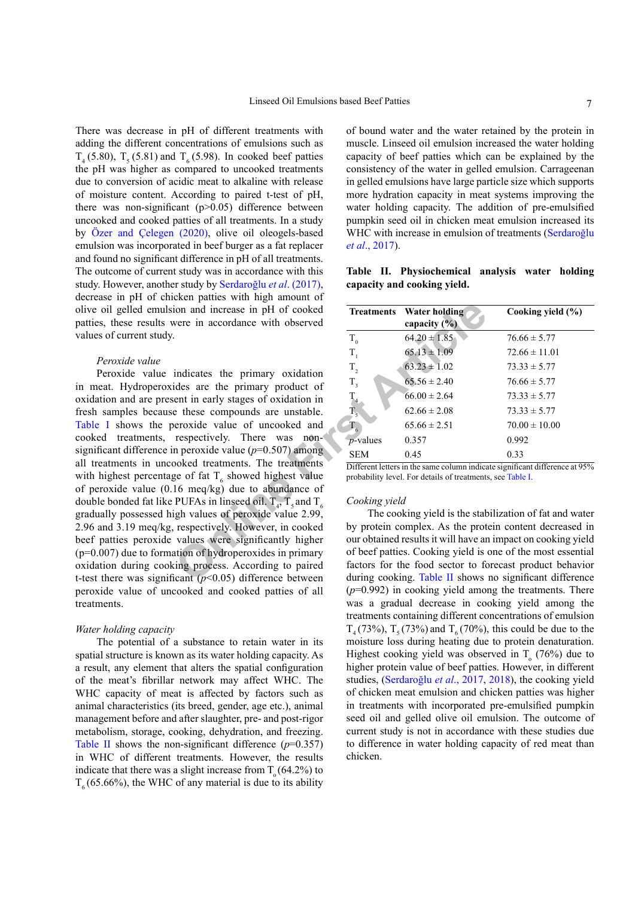There was decrease in pH of different treatments with adding the different concentrations of emulsions such as  $T<sub>4</sub>$  (5.80),  $T<sub>5</sub>$  (5.81) and  $T<sub>6</sub>$  (5.98). In cooked beef patties the pH was higher as compared to uncooked treatments due to conversion of acidic meat to alkaline with release of moisture content. According to paired t-test of pH, there was non-significant  $(p>0.05)$  difference between uncooked and cooked patties of all treatments. In a study by [Özer and Çelegen \(2020\),](#page-8-13) olive oil oleogels-based emulsion was incorporated in beef burger as a fat replacer and found no significant difference in pH of all treatments. The outcome of current study was in accordance with this study. However, another study by Serdaroğlu *et al*. (2017), decrease in pH of chicken patties with high amount of olive oil gelled emulsion and increase in pH of cooked patties, these results were in accordance with observed values of current study.

#### *Peroxide value*

10 ion and increase in pH of cooked<br>
were in accordance with observed<br>
T<sub>0</sub> 64.20±1.85<br>
indicates the primary oxidation<br>
indicates the primary product of<br>
indicates are the primary product of<br>
entine rarly stages of oxida Peroxide value indicates the primary oxidation in meat. Hydroperoxides are the primary product of oxidation and are present in early stages of oxidation in fresh samples because these compounds are unstable. [Table I](#page-5-0) shows the peroxide value of uncooked and cooked treatments, respectively. There was nonsignificant difference in peroxide value (*p*=0.507) among all treatments in uncooked treatments. The treatments with highest percentage of fat  $T_6$  showed highest value of peroxide value (0.16 meq/kg) due to abundance of double bonded fat like PUFAs in linseed oil.  $T_{4}$ ,  $T_{5}$  and  $T_{6}$ gradually possessed high values of peroxide value 2.99, 2.96 and 3.19 meq/kg, respectively. However, in cooked beef patties peroxide values were significantly higher  $(p=0.007)$  due to formation of hydroperoxides in primary oxidation during cooking process. According to paired t-test there was significant  $(p<0.05)$  difference between peroxide value of uncooked and cooked patties of all treatments.

#### *Water holding capacity*

The potential of a substance to retain water in its spatial structure is known as its water holding capacity. As a result, any element that alters the spatial configuration of the meat's fibrillar network may affect WHC. The WHC capacity of meat is affected by factors such as animal characteristics (its breed, gender, age etc.), animal management before and after slaughter, pre- and post-rigor metabolism, storage, cooking, dehydration, and freezing. [Table II](#page-6-0) shows the non-significant difference  $(p=0.357)$ in WHC of different treatments. However, the results indicate that there was a slight increase from  $T(64.2\%)$  to  $T<sub>6</sub>$  (65.66%), the WHC of any material is due to its ability

of bound water and the water retained by the protein in muscle. Linseed oil emulsion increased the water holding capacity of beef patties which can be explained by the consistency of the water in gelled emulsion. Carrageenan in gelled emulsions have large particle size which supports more hydration capacity in meat systems improving the water holding capacity. The addition of pre-emulsified pumpkin seed oil in chicken meat emulsion increased its WHC with increase in emulsion of treatments (Serdaroğlu *et al*., 2017).

<span id="page-6-0"></span>

|  | Table II. Physiochemical analysis water holding |  |  |
|--|-------------------------------------------------|--|--|
|  | capacity and cooking yield.                     |  |  |

| <b>Treatments</b> | Water holding<br>capacity $(\% )$ | Cooking yield (%) |
|-------------------|-----------------------------------|-------------------|
| $T_{0}$           | $64.20 \pm 1.85$                  | $76.66 \pm 5.77$  |
| $T_{1}$           | $65.13 \pm 1.09$                  | $72.66 \pm 11.01$ |
| $T_{2}$           | $63.23 \pm 1.02$                  | $73.33 \pm 5.77$  |
| $T_{3}$           | $65.56 \pm 2.40$                  | $76.66 \pm 5.77$  |
| $\mathrm{T}_4$    | $66.00 \pm 2.64$                  | $73.33 \pm 5.77$  |
| $T_{\rm s}$       | $62.66 \pm 2.08$                  | $73.33 \pm 5.77$  |
| $T_{6}$           | $65.66 \pm 2.51$                  | $70.00 \pm 10.00$ |
| $p$ -values       | 0.357                             | 0.992             |
| <b>SEM</b>        | 0.45                              | 0.33              |

Different letters in the same column indicate significant difference at 95% probability level. For details of treatments, see [Table I.](#page-5-0)

#### *Cooking yield*

The cooking yield is the stabilization of fat and water by protein complex. As the protein content decreased in our obtained results it will have an impact on cooking yield of beef patties. Cooking yield is one of the most essential factors for the food sector to forecast product behavior during cooking. Table II shows no significant difference (*p*=0.992) in cooking yield among the treatments. There was a gradual decrease in cooking yield among the treatments containing different concentrations of emulsion  $T<sub>4</sub>$  (73%),  $T<sub>5</sub>$  (73%) and  $T<sub>6</sub>$  (70%), this could be due to the moisture loss during heating due to protein denaturation. Highest cooking yield was observed in  $T_0$  (76%) due to higher protein value of beef patties. However, in different studies, (Serdaroğlu *et al*., 2017, 2018), the cooking yield of chicken meat emulsion and chicken patties was higher in treatments with incorporated pre-emulsified pumpkin seed oil and gelled olive oil emulsion. The outcome of current study is not in accordance with these studies due to difference in water holding capacity of red meat than chicken.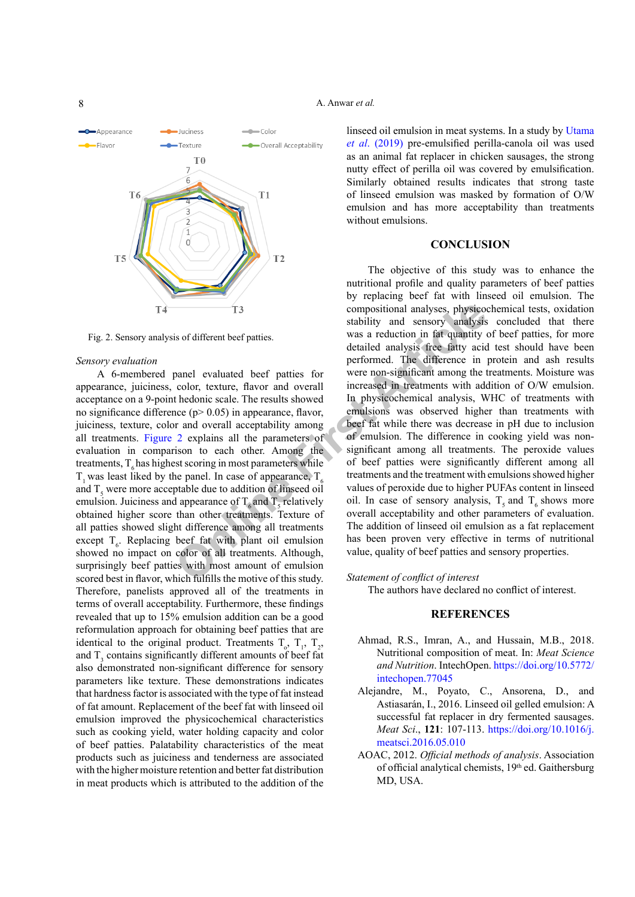Appearance -Juciness  $-\text{Col}_0$  $H$ Flavor -Texture Overall Acceptability T<sub>0</sub>  $\overline{6}$  $T<sub>6</sub>$  $T1$ T<sub>5</sub>  $T<sub>2</sub>$ TÀ

<span id="page-7-2"></span>Fig. 2. Sensory analysis of different beef patties.

#### *Sensory evaluation*

A 6-membered panel evaluated beef patties for appearance, juiciness, color, texture, flavor and overall acceptance on a 9-point hedonic scale. The results showed no significance difference (p> 0.05) in appearance, flavor, juiciness, texture, color and overall acceptability among all treatments. [Figure 2](#page-7-2) explains all the parameters of evaluation in comparison to each other. Among the treatments,  $T<sub>e</sub>$  has highest scoring in most parameters while  $T<sub>1</sub>$  was least liked by the panel. In case of appearance,  $T<sub>6</sub>$ and  $T<sub>5</sub>$  were more acceptable due to addition of linseed oil emulsion. Juiciness and appearance of  $T_6$  and  $T_5$  relatively obtained higher score than other treatments. Texture of all patties showed slight difference among all treatments except  $T<sub>6</sub>$ . Replacing beef fat with plant oil emulsion showed no impact on color of all treatments. Although, surprisingly beef patties with most amount of emulsion scored best in flavor, which fulfills the motive of this study. Therefore, panelists approved all of the treatments in terms of overall acceptability. Furthermore, these findings revealed that up to 15% emulsion addition can be a good reformulation approach for obtaining beef patties that are identical to the original product. Treatments  $T_0$ ,  $T_1$ ,  $T_2$ , and  $T<sub>3</sub>$  contains significantly different amounts of beef fat also demonstrated non-significant difference for sensory parameters like texture. These demonstrations indicates that hardness factor is associated with the type of fat instead of fat amount. Replacement of the beef fat with linseed oil emulsion improved the physicochemical characteristics such as cooking yield, water holding capacity and color of beef patties. Palatability characteristics of the meat products such as juiciness and tenderness are associated with the higher moisture retention and better fat distribution in meat products which is attributed to the addition of the

# A. Anwar *et al.*

linseed oil emulsion in meat systems. In a study by [Utama](#page-9-7) *et al*[. \(2019\)](#page-9-7) pre-emulsified perilla-canola oil was used as an animal fat replacer in chicken sausages, the strong nutty effect of perilla oil was covered by emulsification. Similarly obtained results indicates that strong taste of linseed emulsion was masked by formation of O/W emulsion and has more acceptability than treatments without emulsions.

# **CONCLUSION**

T3 compositional analyses, physicos stability and sensory analysis<br>is of different beef patties. was a reduction in fat quantity detailed analysis was a reduction in fat quantity detailed analysis  $\frac{1}{2}$  performed. The The objective of this study was to enhance the nutritional profile and quality parameters of beef patties by replacing beef fat with linseed oil emulsion. The compositional analyses, physicochemical tests, oxidation stability and sensory analysis concluded that there was a reduction in fat quantity of beef patties, for more detailed analysis free fatty acid test should have been performed. The difference in protein and ash results were non-significant among the treatments. Moisture was increased in treatments with addition of O/W emulsion. In physicochemical analysis, WHC of treatments with emulsions was observed higher than treatments with beef fat while there was decrease in pH due to inclusion of emulsion. The difference in cooking yield was nonsignificant among all treatments. The peroxide values of beef patties were significantly different among all treatments and the treatment with emulsions showed higher values of peroxide due to higher PUFAs content in linseed oil. In case of sensory analysis,  $T_5$  and  $T_6$  shows more overall acceptability and other parameters of evaluation. The addition of linseed oil emulsion as a fat replacement has been proven very effective in terms of nutritional value, quality of beef patties and sensory properties.

# *Statement of conflict of interest*

The authors have declared no conflict of interest.

# **REFERENCES**

- <span id="page-7-0"></span>Ahmad, R.S., Imran, A., and Hussain, M.B., 2018. Nutritional composition of meat. In: *Meat Science and Nutrition*. IntechOpen. [https://doi.org/10.5772/](https://doi.org/10.5772/intechopen.77045) [intechopen.77045](https://doi.org/10.5772/intechopen.77045)
- Alejandre, M., Poyato, C., Ansorena, D., and Astiasarán, I., 2016. Linseed oil gelled emulsion: A successful fat replacer in dry fermented sausages. *Meat Sci*., **121**: 107-113. [https://doi.org/10.1016/j.](https://doi.org/10.1016/j.meatsci.2016.05.010) [meatsci.2016.05.010](https://doi.org/10.1016/j.meatsci.2016.05.010)
- <span id="page-7-1"></span>AOAC, 2012. *Official methods of analysis*. Association of official analytical chemists,  $19<sup>th</sup>$  ed. Gaithersburg MD, USA.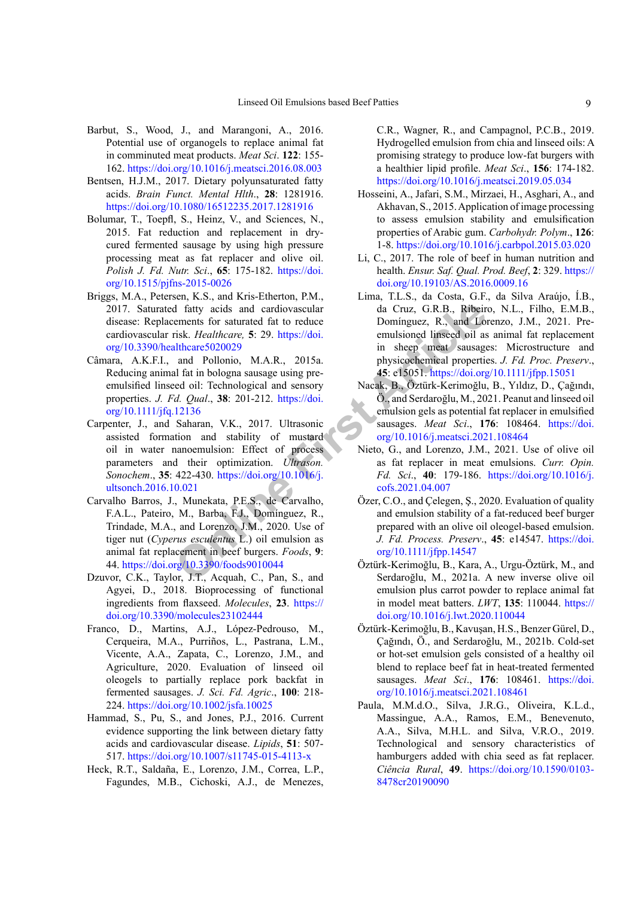- <span id="page-8-6"></span>Barbut, S., Wood, J., and Marangoni, A., 2016. Potential use of organogels to replace animal fat in comminuted meat products. *Meat Sci*. **122**: 155- 162. <https://doi.org/10.1016/j.meatsci.2016.08.003>
- <span id="page-8-3"></span>Bentsen, H.J.M., 2017. Dietary polyunsaturated fatty acids. *Brain Funct. Mental Hlth*., **28**: 1281916. <https://doi.org/10.1080/16512235.2017.1281916>
- <span id="page-8-4"></span>Bolumar, T., Toepfl, S., Heinz, V., and Sciences, N., 2015. Fat reduction and replacement in drycured fermented sausage by using high pressure processing meat as fat replacer and olive oil. *Polish J. Fd. Nutr. Sci*., **65**: 175-182. [https://doi.](https://doi.org/10.1515/pjfns-2015-0026) [org/10.1515/pjfns-2015-0026](https://doi.org/10.1515/pjfns-2015-0026)
- <span id="page-8-1"></span>Briggs, M.A., Petersen, K.S., and Kris-Etherton, P.M., 2017. Saturated fatty acids and cardiovascular disease: Replacements for saturated fat to reduce cardiovascular risk. *Healthcare,* **5**: 29. https://doi. [org/10.3390/healthcare5020029](https://doi.org/10.3390/healthcare5020029)
- <span id="page-8-11"></span>Câmara, A.K.F.I., and Pollonio, M.A.R., 2015a. Reducing animal fat in bologna sausage using preemulsified linseed oil: Technological and sensory properties. *J. Fd. Qual*., **38**: 201-212. https://doi. [org/10.1111/jfq.12136](https://doi.org/10.1111/jfq.12136)
- d fatty acids and cardiovascular da Cruz, G.R.B., Ribein<br>
ements for saturated fat to reduce Dominguez, R., and Louisins, Healthcare, 5: 29. https://doi. emulsioned linseed oil as<br>
and Pollonio, M.A.R., 2015a. physicochemi Carpenter, J., and Saharan, V.K., 2017. Ultrasonic assisted formation and stability of mustard oil in water nanoemulsion: Effect of process parameters and their optimization. *Ultrason. Sonochem*., **35**: 422-430. https://doi.org/10.1016/j. [ultsonch.2016.10.021](https://doi.org/10.1016/j.ultsonch.2016.10.021)
- Carvalho Barros, J., Munekata, P.E.S., de Carvalho, F.A.L., Pateiro, M., Barba, F.J., Domínguez, R., Trindade, M.A., and Lorenzo, J.M., 2020. Use of tiger nut (*Cyperus esculentus* L.) oil emulsion as animal fat replacement in beef burgers. *Foods*, **9**: 44. <https://doi.org/10.3390/foods9010044>
- <span id="page-8-7"></span>Dzuvor, C.K., Taylor, J.T., Acquah, C., Pan, S., and Agyei, D., 2018. Bioprocessing of functional ingredients from flaxseed. *Molecules*, **23**. [https://](https://doi.org/10.3390/molecules23102444) [doi.org/10.3390/molecules23102444](https://doi.org/10.3390/molecules23102444)
- Franco, D., Martins, A.J., López-Pedrouso, M., Cerqueira, M.A., Purriños, L., Pastrana, L.M., Vicente, A.A., Zapata, C., Lorenzo, J.M., and Agriculture, 2020. Evaluation of linseed oil oleogels to partially replace pork backfat in fermented sausages. *J. Sci. Fd. Agric*., **100**: 218- 224. <https://doi.org/10.1002/jsfa.10025>
- <span id="page-8-2"></span>Hammad, S., Pu, S., and Jones, P.J., 2016. Current evidence supporting the link between dietary fatty acids and cardiovascular disease. *Lipids*, **51**: 507- 517. <https://doi.org/10.1007/s11745-015-4113-x>
- Heck, R.T., Saldaña, E., Lorenzo, J.M., Correa, L.P., Fagundes, M.B., Cichoski, A.J., de Menezes,

C.R., Wagner, R., and Campagnol, P.C.B., 2019. Hydrogelled emulsion from chia and linseed oils: A promising strategy to produce low-fat burgers with a healthier lipid profile. *Meat Sci*., **156**: 174-182. <https://doi.org/10.1016/j.meatsci.2019.05.034>

- <span id="page-8-10"></span>Hosseini, A., Jafari, S.M., Mirzaei, H., Asghari, A., and Akhavan, S., 2015. Application of image processing to assess emulsion stability and emulsification properties of Arabic gum. *Carbohydr. Polym*., **126**: 1-8. <https://doi.org/10.1016/j.carbpol.2015.03.020>
- <span id="page-8-0"></span>Li, C., 2017. The role of beef in human nutrition and health. *Ensur. Saf. Qual. Prod. Beef*, **2**: 329. [https://](https://doi.org/10.19103/AS.2016.0009.16) [doi.org/10.19103/AS.2016.0009.16](https://doi.org/10.19103/AS.2016.0009.16)
- Lima, T.L.S., da Costa, G.F., da Silva Araújo, Í.B., da Cruz, G.R.B., Ribeiro, N.L., Filho, E.M.B., Domínguez, R., and Lorenzo, J.M., 2021. Preemulsioned linseed oil as animal fat replacement in sheep meat sausages: Microstructure and physicochemical properties. *J. Fd. Proc. Preserv*., **45**: e15051.<https://doi.org/10.1111/jfpp.15051>
- Nacak, B., Öztürk-Kerimoğlu, B., Yıldız, D., Çağındı, Ö., and Serdaroğlu, M., 2021. Peanut and linseed oil emulsion gels as potential fat replacer in emulsified sausages. *Meat Sci*., **176**: 108464. [https://doi.](https://doi.org/10.1016/j.meatsci.2021.108464) [org/10.1016/j.meatsci.2021.108464](https://doi.org/10.1016/j.meatsci.2021.108464)
- <span id="page-8-5"></span>Nieto, G., and Lorenzo, J.M., 2021. Use of olive oil as fat replacer in meat emulsions. *Curr. Opin. Fd. Sci*., **40**: 179-186. [https://doi.org/10.1016/j.](https://doi.org/10.1016/j.cofs.2021.04.007) cofs.2021.04.007
- <span id="page-8-13"></span>Özer, C.O., and Çelegen, Ş., 2020. Evaluation of quality and emulsion stability of a fat-reduced beef burger prepared with an olive oil oleogel-based emulsion. *J. Fd. Process. Preserv*., **45**: e14547. [https://doi.](https://doi.org/10.1111/jfpp.14547) org/10.1111/jfpp.14547
- <span id="page-8-9"></span>Öztürk-Kerimoğlu, B., Kara, A., Urgu-Öztürk, M., and Serdaroğlu, M., 2021a. A new inverse olive oil emulsion plus carrot powder to replace animal fat in model meat batters. *LWT*, **135**: 110044. [https://](https://doi.org/10.1016/j.lwt.2020.110044) [doi.org/10.1016/j.lwt.2020.110044](https://doi.org/10.1016/j.lwt.2020.110044)
- <span id="page-8-8"></span>Öztürk-Kerimoğlu, B., Kavuşan, H.S., Benzer Gürel, D., Çağındı, Ö., and Serdaroğlu, M., 2021b. Cold-set or hot-set emulsion gels consisted of a healthy oil blend to replace beef fat in heat-treated fermented sausages. *Meat Sci*., **176**: 108461. [https://doi.](https://doi.org/10.1016/j.meatsci.2021.108461) [org/10.1016/j.meatsci.2021.108461](https://doi.org/10.1016/j.meatsci.2021.108461)
- <span id="page-8-12"></span>Paula, M.M.d.O., Silva, J.R.G., Oliveira, K.L.d., Massingue, A.A., Ramos, E.M., Benevenuto, A.A., Silva, M.H.L. and Silva, V.R.O., 2019. Technological and sensory characteristics of hamburgers added with chia seed as fat replacer. *Ciência Rural*, **49**. [https://doi.org/10.1590/0103-](https://doi.org/10.1590/0103-8478cr20190090) [8478cr20190090](https://doi.org/10.1590/0103-8478cr20190090)